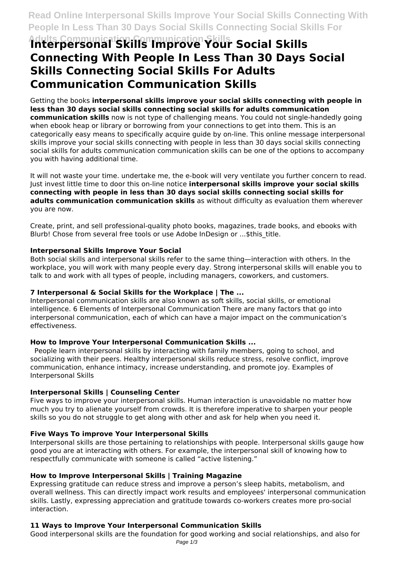# **Adults Communication Communication Skills Interpersonal Skills Improve Your Social Skills Connecting With People In Less Than 30 Days Social Skills Connecting Social Skills For Adults Communication Communication Skills**

Getting the books **interpersonal skills improve your social skills connecting with people in less than 30 days social skills connecting social skills for adults communication communication skills** now is not type of challenging means. You could not single-handedly going when ebook heap or library or borrowing from your connections to get into them. This is an categorically easy means to specifically acquire guide by on-line. This online message interpersonal skills improve your social skills connecting with people in less than 30 days social skills connecting social skills for adults communication communication skills can be one of the options to accompany you with having additional time.

It will not waste your time. undertake me, the e-book will very ventilate you further concern to read. Just invest little time to door this on-line notice **interpersonal skills improve your social skills connecting with people in less than 30 days social skills connecting social skills for adults communication communication skills** as without difficulty as evaluation them wherever you are now.

Create, print, and sell professional-quality photo books, magazines, trade books, and ebooks with Blurb! Chose from several free tools or use Adobe InDesign or ...\$this\_title.

# **Interpersonal Skills Improve Your Social**

Both social skills and interpersonal skills refer to the same thing—interaction with others. In the workplace, you will work with many people every day. Strong interpersonal skills will enable you to talk to and work with all types of people, including managers, coworkers, and customers.

# **7 Interpersonal & Social Skills for the Workplace | The ...**

Interpersonal communication skills are also known as soft skills, social skills, or emotional intelligence. 6 Elements of Interpersonal Communication There are many factors that go into interpersonal communication, each of which can have a major impact on the communication's effectiveness.

# **How to Improve Your Interpersonal Communication Skills ...**

 People learn interpersonal skills by interacting with family members, going to school, and socializing with their peers. Healthy interpersonal skills reduce stress, resolve conflict, improve communication, enhance intimacy, increase understanding, and promote joy. Examples of Interpersonal Skills

# **Interpersonal Skills | Counseling Center**

Five ways to improve your interpersonal skills. Human interaction is unavoidable no matter how much you try to alienate yourself from crowds. It is therefore imperative to sharpen your people skills so you do not struggle to get along with other and ask for help when you need it.

# **Five Ways To improve Your Interpersonal Skills**

Interpersonal skills are those pertaining to relationships with people. Interpersonal skills gauge how good you are at interacting with others. For example, the interpersonal skill of knowing how to respectfully communicate with someone is called "active listening."

# **How to Improve Interpersonal Skills | Training Magazine**

Expressing gratitude can reduce stress and improve a person's sleep habits, metabolism, and overall wellness. This can directly impact work results and employees' interpersonal communication skills. Lastly, expressing appreciation and gratitude towards co-workers creates more pro-social interaction.

# **11 Ways to Improve Your Interpersonal Communication Skills**

Good interpersonal skills are the foundation for good working and social relationships, and also for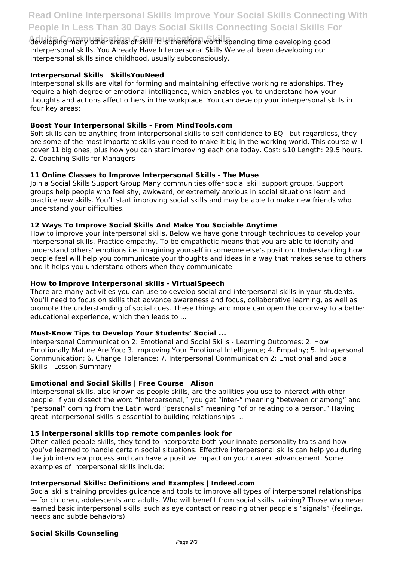developing many other areas of skill. It is therefore worth spending time developing good interpersonal skills. You Already Have Interpersonal Skills We've all been developing our interpersonal skills since childhood, usually subconsciously.

# **Interpersonal Skills | SkillsYouNeed**

Interpersonal skills are vital for forming and maintaining effective working relationships. They require a high degree of emotional intelligence, which enables you to understand how your thoughts and actions affect others in the workplace. You can develop your interpersonal skills in four key areas:

# **Boost Your Interpersonal Skills - From MindTools.com**

Soft skills can be anything from interpersonal skills to self-confidence to EQ—but regardless, they are some of the most important skills you need to make it big in the working world. This course will cover 11 big ones, plus how you can start improving each one today. Cost: \$10 Length: 29.5 hours. 2. Coaching Skills for Managers

# **11 Online Classes to Improve Interpersonal Skills - The Muse**

Join a Social Skills Support Group Many communities offer social skill support groups. Support groups help people who feel shy, awkward, or extremely anxious in social situations learn and practice new skills. You'll start improving social skills and may be able to make new friends who understand your difficulties.

# **12 Ways To Improve Social Skills And Make You Sociable Anytime**

How to improve your interpersonal skills. Below we have gone through techniques to develop your interpersonal skills. Practice empathy. To be empathetic means that you are able to identify and understand others' emotions i.e. imagining yourself in someone else's position. Understanding how people feel will help you communicate your thoughts and ideas in a way that makes sense to others and it helps you understand others when they communicate.

# **How to improve interpersonal skills - VirtualSpeech**

There are many activities you can use to develop social and interpersonal skills in your students. You'll need to focus on skills that advance awareness and focus, collaborative learning, as well as promote the understanding of social cues. These things and more can open the doorway to a better educational experience, which then leads to ...

# **Must-Know Tips to Develop Your Students' Social ...**

Interpersonal Communication 2: Emotional and Social Skills - Learning Outcomes; 2. How Emotionally Mature Are You; 3. Improving Your Emotional Intelligence; 4. Empathy; 5. Intrapersonal Communication; 6. Change Tolerance; 7. Interpersonal Communication 2: Emotional and Social Skills - Lesson Summary

# **Emotional and Social Skills | Free Course | Alison**

Interpersonal skills, also known as people skills, are the abilities you use to interact with other people. If you dissect the word "interpersonal," you get "inter-" meaning "between or among" and "personal" coming from the Latin word "personalis" meaning "of or relating to a person." Having great interpersonal skills is essential to building relationships ...

# **15 interpersonal skills top remote companies look for**

Often called people skills, they tend to incorporate both your innate personality traits and how you've learned to handle certain social situations. Effective interpersonal skills can help you during the job interview process and can have a positive impact on your career advancement. Some examples of interpersonal skills include:

# **Interpersonal Skills: Definitions and Examples | Indeed.com**

Social skills training provides guidance and tools to improve all types of interpersonal relationships — for children, adolescents and adults. Who will benefit from social skills training? Those who never learned basic interpersonal skills, such as eye contact or reading other people's "signals" (feelings, needs and subtle behaviors)

# **Social Skills Counseling**